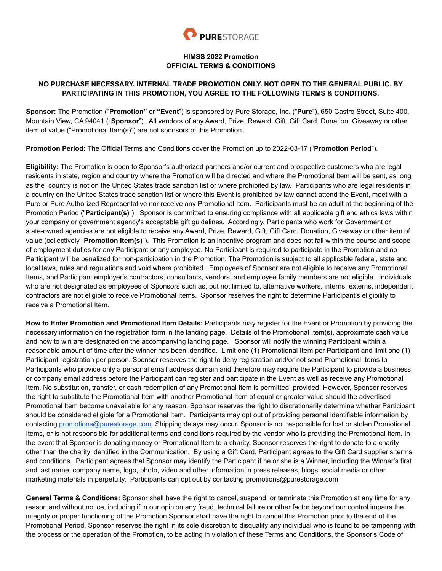

## **HIMSS 2022 Promotion OFFICIAL TERMS & CONDITIONS**

## **NO PURCHASE NECESSARY. INTERNAL TRADE PROMOTION ONLY. NOT OPEN TO THE GENERAL PUBLIC. BY PARTICIPATING IN THIS PROMOTION, YOU AGREE TO THE FOLLOWING TERMS & CONDITIONS.**

**Sponsor:** The Promotion ("**Promotion"** or **"Event**") is sponsored by Pure Storage, Inc. ("**Pure**"), 650 Castro Street, Suite 400, Mountain View, CA 94041 ("**Sponsor**"). All vendors of any Award, Prize, Reward, Gift, Gift Card, Donation, Giveaway or other item of value ("Promotional Item(s)") are not sponsors of this Promotion.

**Promotion Period:** The Official Terms and Conditions cover the Promotion up to 2022-03-17 ("**Promotion Period**").

**Eligibility:** The Promotion is open to Sponsor's authorized partners and/or current and prospective customers who are legal residents in state, region and country where the Promotion will be directed and where the Promotional Item will be sent, as long as the country is not on the United States trade sanction list or where prohibited by law. Participants who are legal residents in a country on the United States trade sanction list or where this Event is prohibited by law cannot attend the Event, meet with a Pure or Pure Authorized Representative nor receive any Promotional Item. Participants must be an adult at the beginning of the Promotion Period ("**Participant(s)**"). Sponsor is committed to ensuring compliance with all applicable gift and ethics laws within your company or government agency's acceptable gift guidelines. Accordingly, Participants who work for Government or state-owned agencies are not eligible to receive any Award, Prize, Reward, Gift, Gift Card, Donation, Giveaway or other item of value (collectively "**Promotion Item(s)**"). This Promotion is an incentive program and does not fall within the course and scope of employment duties for any Participant or any employee. No Participant is required to participate in the Promotion and no Participant will be penalized for non-participation in the Promotion. The Promotion is subject to all applicable federal, state and local laws, rules and regulations and void where prohibited. Employees of Sponsor are not eligible to receive any Promotional Items, and Participant employer's contractors, consultants, vendors, and employee family members are not eligible. Individuals who are not designated as employees of Sponsors such as, but not limited to, alternative workers, interns, externs, independent contractors are not eligible to receive Promotional Items. Sponsor reserves the right to determine Participant's eligibility to receive a Promotional Item.

**How to Enter Promotion and Promotional Item Details:** Participants may register for the Event or Promotion by providing the necessary information on the registration form in the landing page. Details of the Promotional Item(s), approximate cash value and how to win are designated on the accompanying landing page. Sponsor will notify the winning Participant within a reasonable amount of time after the winner has been identified. Limit one (1) Promotional Item per Participant and limit one (1) Participant registration per person. Sponsor reserves the right to deny registration and/or not send Promotional Items to Participants who provide only a personal email address domain and therefore may require the Participant to provide a business or company email address before the Participant can register and participate in the Event as well as receive any Promotional Item. No substitution, transfer, or cash redemption of any Promotional Item is permitted, provided. However, Sponsor reserves the right to substitute the Promotional Item with another Promotional Item of equal or greater value should the advertised Promotional Item become unavailable for any reason. Sponsor reserves the right to discretionarily determine whether Participant should be considered eligible for a Promotional Item. Participants may opt out of providing personal identifiable information by contacting [promotions@purestorage.com.](mailto:promotions@purestorage.com) Shipping delays may occur. Sponsor is not responsible for lost or stolen Promotional Items, or is not responsible for additional terms and conditions required by the vendor who is providing the Promotional Item. In the event that Sponsor is donating money or Promotional Item to a charity, Sponsor reserves the right to donate to a charity other than the charity identified in the Communication. By using a Gift Card, Participant agrees to the Gift Card supplier's terms and conditions. Participant agrees that Sponsor may identify the Participant if he or she is a Winner, including the Winner's first and last name, company name, logo, photo, video and other information in press releases, blogs, social media or other marketing materials in perpetuity. Participants can opt out by contacting promotions@purestorage.com

**General Terms & Conditions:** Sponsor shall have the right to cancel, suspend, or terminate this Promotion at any time for any reason and without notice, including if in our opinion any fraud, technical failure or other factor beyond our control impairs the integrity or proper functioning of the Promotion.Sponsor shall have the right to cancel this Promotion prior to the end of the Promotional Period. Sponsor reserves the right in its sole discretion to disqualify any individual who is found to be tampering with the process or the operation of the Promotion, to be acting in violation of these Terms and Conditions, the Sponsor's Code of